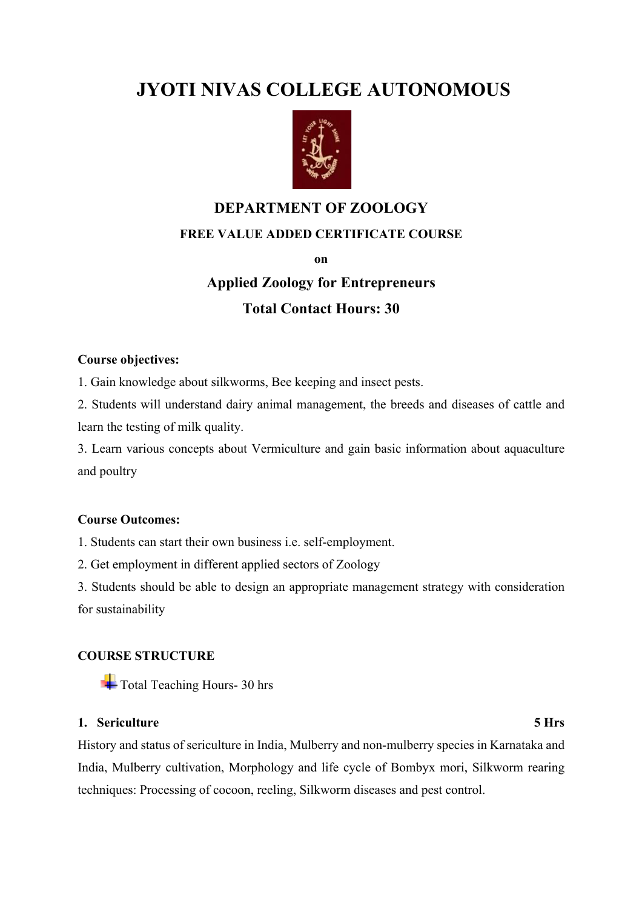## **JYOTI NIVAS COLLEGE AUTONOMOUS**



# **DEPARTMENT OF ZOOLOGY**

### **FREE VALUE ADDED CERTIFICATE COURSE**

**on**

# **Applied Zoology for Entrepreneurs Total Contact Hours: 30**

#### **Course objectives:**

1. Gain knowledge about silkworms, Bee keeping and insect pests.

2. Students will understand dairy animal management, the breeds and diseases of cattle and learn the testing of milk quality.

3. Learn various concepts about Vermiculture and gain basic information about aquaculture and poultry

#### **Course Outcomes:**

1. Students can start their own business i.e. self-employment.

2. Get employment in different applied sectors of Zoology

3. Students should be able to design an appropriate management strategy with consideration for sustainability

### **COURSE STRUCTURE**

Total Teaching Hours- 30 hrs

#### **1. Sericulture 5 Hrs**

History and status of sericulture in India, Mulberry and non-mulberry species in Karnataka and India, Mulberry cultivation, Morphology and life cycle of Bombyx mori, Silkworm rearing techniques: Processing of cocoon, reeling, Silkworm diseases and pest control.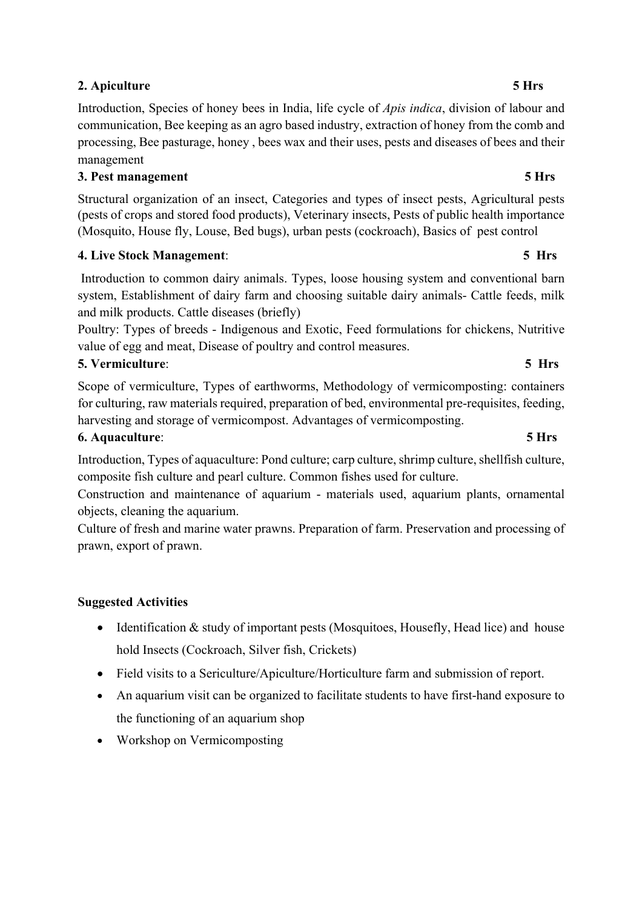### **2. Apiculture 5 Hrs**

Introduction, Species of honey bees in India, life cycle of *Apis indica*, division of labour and communication, Bee keeping as an agro based industry, extraction of honey from the comb and processing, Bee pasturage, honey , bees wax and their uses, pests and diseases of bees and their management

### **3. Pest management 5 Hrs**

Structural organization of an insect, Categories and types of insect pests, Agricultural pests (pests of crops and stored food products), Veterinary insects, Pests of public health importance (Mosquito, House fly, Louse, Bed bugs), urban pests (cockroach), Basics of pest control

### **4. Live Stock Management**: **5 Hrs**

Introduction to common dairy animals. Types, loose housing system and conventional barn system, Establishment of dairy farm and choosing suitable dairy animals- Cattle feeds, milk and milk products. Cattle diseases (briefly)

Poultry: Types of breeds - Indigenous and Exotic, Feed formulations for chickens, Nutritive value of egg and meat, Disease of poultry and control measures.

#### **5. Vermiculture**: **5 Hrs**

Scope of vermiculture, Types of earthworms, Methodology of vermicomposting: containers for culturing, raw materials required, preparation of bed, environmental pre-requisites, feeding, harvesting and storage of vermicompost. Advantages of vermicomposting.

#### **6. Aquaculture**: **5 Hrs**

Introduction, Types of aquaculture: Pond culture; carp culture, shrimp culture, shellfish culture, composite fish culture and pearl culture. Common fishes used for culture.

Construction and maintenance of aquarium - materials used, aquarium plants, ornamental objects, cleaning the aquarium.

Culture of fresh and marine water prawns. Preparation of farm. Preservation and processing of prawn, export of prawn.

#### **Suggested Activities**

- Identification & study of important pests (Mosquitoes, Housefly, Head lice) and house hold Insects (Cockroach, Silver fish, Crickets)
- Field visits to a Sericulture/Apiculture/Horticulture farm and submission of report.
- An aquarium visit can be organized to facilitate students to have first-hand exposure to the functioning of an aquarium shop
- Workshop on Vermicomposting